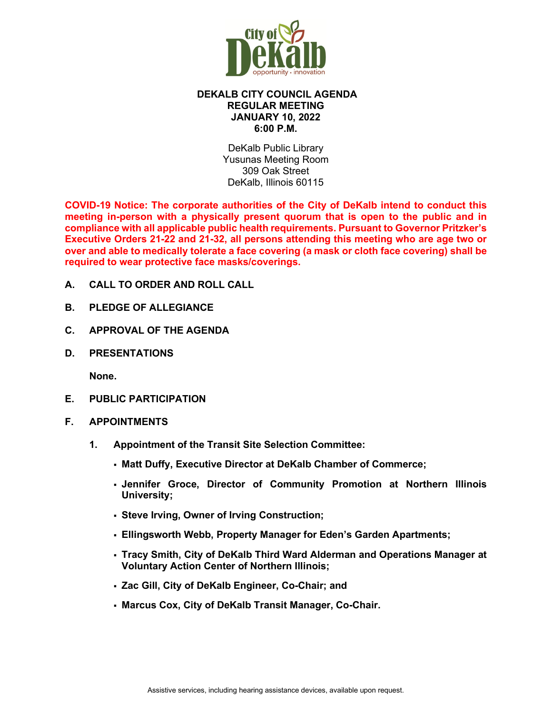

## **DEKALB CITY COUNCIL AGENDA REGULAR MEETING JANUARY 10, 2022 6:00 P.M.**

DeKalb Public Library Yusunas Meeting Room 309 Oak Street DeKalb, Illinois 60115

**COVID-19 Notice: The corporate authorities of the City of DeKalb intend to conduct this meeting in-person with a physically present quorum that is open to the public and in compliance with all applicable public health requirements. Pursuant to Governor Pritzker's Executive Orders 21-22 and 21-32, all persons attending this meeting who are age two or over and able to medically tolerate a face covering (a mask or cloth face covering) shall be required to wear protective face masks/coverings.**

- **A. CALL TO ORDER AND ROLL CALL**
- **B. PLEDGE OF ALLEGIANCE**
- **C. APPROVAL OF THE AGENDA**
- **D. PRESENTATIONS**

**None.**

- **E. PUBLIC PARTICIPATION**
- **F. APPOINTMENTS**
	- **1. Appointment of the Transit Site Selection Committee:** 
		- **Matt Duffy, Executive Director at DeKalb Chamber of Commerce;**
		- **Jennifer Groce, Director of Community Promotion at Northern Illinois University;**
		- **Steve Irving, Owner of Irving Construction;**
		- **Ellingsworth Webb, Property Manager for Eden's Garden Apartments;**
		- **Tracy Smith, City of DeKalb Third Ward Alderman and Operations Manager at Voluntary Action Center of Northern Illinois;**
		- **Zac Gill, City of DeKalb Engineer, Co-Chair; and**
		- **Marcus Cox, City of DeKalb Transit Manager, Co-Chair.**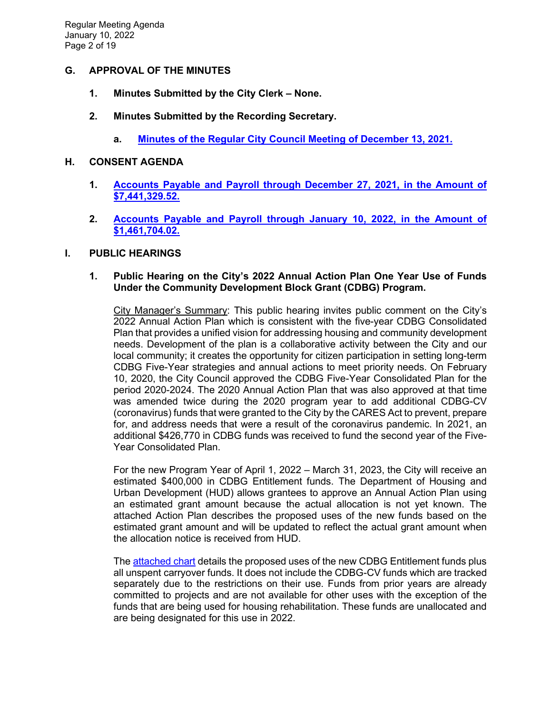# **G. APPROVAL OF THE MINUTES**

- **1. Minutes Submitted by the City Clerk – None.**
- **2. Minutes Submitted by the Recording Secretary.** 
	- **a. [Minutes of the Regular City Council Meeting of December 13, 2021.](https://www.cityofdekalb.com/DocumentCenter/View/13395/2-121321-Regular-Minutes-FINAL)**

#### **H. CONSENT AGENDA**

- **1. [Accounts Payable and Payroll through December 27, 2021, in the Amount of](https://www.cityofdekalb.com/DocumentCenter/View/13396/3-APP-122721)  [\\$7,441,329.52.](https://www.cityofdekalb.com/DocumentCenter/View/13396/3-APP-122721)**
- **2. [Accounts Payable and Payroll through January 10, 2022,](https://www.cityofdekalb.com/DocumentCenter/View/13397/4-APP-011022) in the Amount of [\\$1,461,704.02.](https://www.cityofdekalb.com/DocumentCenter/View/13397/4-APP-011022)**

## **I. PUBLIC HEARINGS**

## **1. Public Hearing on the City's 2022 Annual Action Plan One Year Use of Funds Under the Community Development Block Grant (CDBG) Program.**

City Manager's Summary: This public hearing invites public comment on the City's 2022 Annual Action Plan which is consistent with the five-year CDBG Consolidated Plan that provides a unified vision for addressing housing and community development needs. Development of the plan is a collaborative activity between the City and our local community; it creates the opportunity for citizen participation in setting long-term CDBG Five-Year strategies and annual actions to meet priority needs. On February 10, 2020, the City Council approved the CDBG Five-Year Consolidated Plan for the period 2020-2024. The 2020 Annual Action Plan that was also approved at that time was amended twice during the 2020 program year to add additional CDBG-CV (coronavirus) funds that were granted to the City by the CARES Act to prevent, prepare for, and address needs that were a result of the coronavirus pandemic. In 2021, an additional \$426,770 in CDBG funds was received to fund the second year of the Five-Year Consolidated Plan.

For the new Program Year of April 1, 2022 – March 31, 2023, the City will receive an estimated \$400,000 in CDBG Entitlement funds. The Department of Housing and Urban Development (HUD) allows grantees to approve an Annual Action Plan using an estimated grant amount because the actual allocation is not yet known. The attached Action Plan describes the proposed uses of the new funds based on the estimated grant amount and will be updated to reflect the actual grant amount when the allocation notice is received from HUD.

The [attached chart](https://www.cityofdekalb.com/DocumentCenter/View/13398/5-PH-Notice---2022-CDBG) details the proposed uses of the new CDBG Entitlement funds plus all unspent carryover funds. It does not include the CDBG-CV funds which are tracked separately due to the restrictions on their use. Funds from prior years are already committed to projects and are not available for other uses with the exception of the funds that are being used for housing rehabilitation. These funds are unallocated and are being designated for this use in 2022.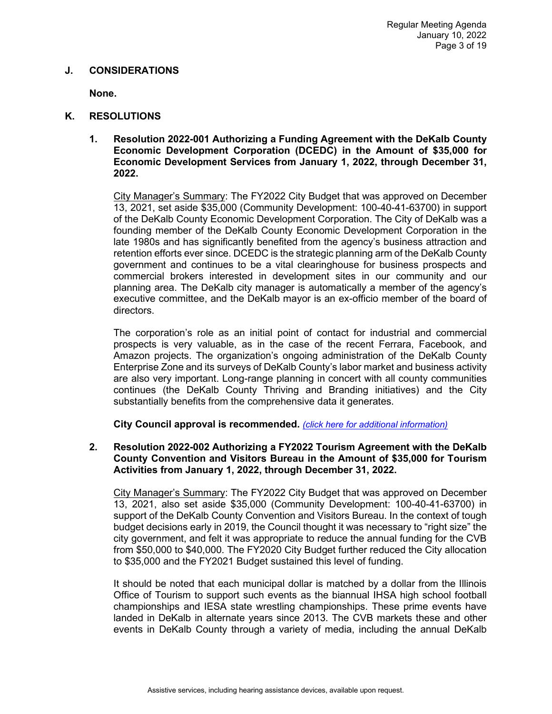#### **J. CONSIDERATIONS**

**None.**

- **K. RESOLUTIONS**
	- **1. Resolution 2022-001 Authorizing a Funding Agreement with the DeKalb County Economic Development Corporation (DCEDC) in the Amount of \$35,000 for Economic Development Services from January 1, 2022, through December 31, 2022.**

City Manager's Summary: The FY2022 City Budget that was approved on December 13, 2021, set aside \$35,000 (Community Development: 100-40-41-63700) in support of the DeKalb County Economic Development Corporation. The City of DeKalb was a founding member of the DeKalb County Economic Development Corporation in the late 1980s and has significantly benefited from the agency's business attraction and retention efforts ever since. DCEDC is the strategic planning arm of the DeKalb County government and continues to be a vital clearinghouse for business prospects and commercial brokers interested in development sites in our community and our planning area. The DeKalb city manager is automatically a member of the agency's executive committee, and the DeKalb mayor is an ex-officio member of the board of directors.

The corporation's role as an initial point of contact for industrial and commercial prospects is very valuable, as in the case of the recent Ferrara, Facebook, and Amazon projects. The organization's ongoing administration of the DeKalb County Enterprise Zone and its surveys of DeKalb County's labor market and business activity are also very important. Long-range planning in concert with all county communities continues (the DeKalb County Thriving and Branding initiatives) and the City substantially benefits from the comprehensive data it generates.

**City Council approval is recommended.** *[\(click here for additional information\)](https://www.cityofdekalb.com/DocumentCenter/View/13399/6-Res-2022-001)*

**2. Resolution 2022-002 Authorizing a FY2022 Tourism Agreement with the DeKalb County Convention and Visitors Bureau in the Amount of \$35,000 for Tourism Activities from January 1, 2022, through December 31, 2022.** 

City Manager's Summary: The FY2022 City Budget that was approved on December 13, 2021, also set aside \$35,000 (Community Development: 100-40-41-63700) in support of the DeKalb County Convention and Visitors Bureau. In the context of tough budget decisions early in 2019, the Council thought it was necessary to "right size" the city government, and felt it was appropriate to reduce the annual funding for the CVB from \$50,000 to \$40,000. The FY2020 City Budget further reduced the City allocation to \$35,000 and the FY2021 Budget sustained this level of funding.

It should be noted that each municipal dollar is matched by a dollar from the Illinois Office of Tourism to support such events as the biannual IHSA high school football championships and IESA state wrestling championships. These prime events have landed in DeKalb in alternate years since 2013. The CVB markets these and other events in DeKalb County through a variety of media, including the annual DeKalb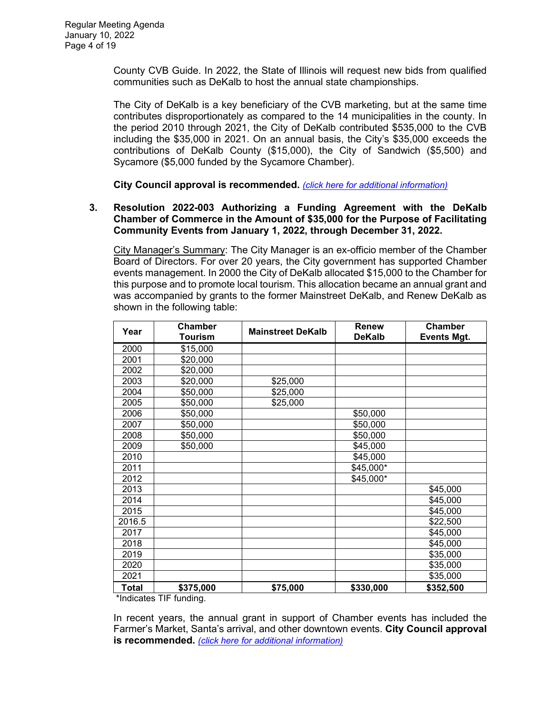County CVB Guide. In 2022, the State of Illinois will request new bids from qualified communities such as DeKalb to host the annual state championships.

The City of DeKalb is a key beneficiary of the CVB marketing, but at the same time contributes disproportionately as compared to the 14 municipalities in the county. In the period 2010 through 2021, the City of DeKalb contributed \$535,000 to the CVB including the \$35,000 in 2021. On an annual basis, the City's \$35,000 exceeds the contributions of DeKalb County (\$15,000), the City of Sandwich (\$5,500) and Sycamore (\$5,000 funded by the Sycamore Chamber).

**City Council approval is recommended.** *[\(click here for additional information\)](https://www.cityofdekalb.com/DocumentCenter/View/13400/7-Res-2022-002)*

## **3. Resolution 2022-003 Authorizing a Funding Agreement with the DeKalb Chamber of Commerce in the Amount of \$35,000 for the Purpose of Facilitating Community Events from January 1, 2022, through December 31, 2022.**

City Manager's Summary: The City Manager is an ex-officio member of the Chamber Board of Directors. For over 20 years, the City government has supported Chamber events management. In 2000 the City of DeKalb allocated \$15,000 to the Chamber for this purpose and to promote local tourism. This allocation became an annual grant and was accompanied by grants to the former Mainstreet DeKalb, and Renew DeKalb as shown in the following table:

| Year                          | <b>Chamber</b><br><b>Tourism</b>       | <b>Mainstreet DeKalb</b> | <b>Renew</b><br><b>DeKalb</b> | <b>Chamber</b><br><b>Events Mgt.</b> |
|-------------------------------|----------------------------------------|--------------------------|-------------------------------|--------------------------------------|
| 2000                          | \$15,000                               |                          |                               |                                      |
| 2001                          | \$20,000                               |                          |                               |                                      |
| 2002                          | \$20,000                               |                          |                               |                                      |
| 2003                          | \$20,000                               | \$25,000                 |                               |                                      |
| 2004                          | \$50,000                               | \$25,000                 |                               |                                      |
| 2005                          | \$50,000                               | \$25,000                 |                               |                                      |
| 2006                          | \$50,000                               |                          | \$50,000                      |                                      |
| 2007                          | \$50,000                               |                          | \$50,000                      |                                      |
| 2008                          | \$50,000                               |                          | \$50,000                      |                                      |
| 2009                          | \$50,000                               |                          | \$45,000                      |                                      |
| 2010                          |                                        |                          | \$45,000                      |                                      |
| 2011                          |                                        |                          | \$45,000*                     |                                      |
| 2012                          |                                        |                          | \$45,000*                     |                                      |
| 2013                          |                                        |                          |                               | \$45,000                             |
| 2014                          |                                        |                          |                               | \$45,000                             |
| 2015                          |                                        |                          |                               | \$45,000                             |
| 2016.5                        |                                        |                          |                               | \$22,500                             |
| 2017                          |                                        |                          |                               | \$45,000                             |
| 2018                          |                                        |                          |                               | \$45,000                             |
| 2019                          |                                        |                          |                               | \$35,000                             |
| 2020                          |                                        |                          |                               | \$35,000                             |
| 2021                          |                                        |                          |                               | \$35,000                             |
| <b>Total</b><br>$*1 - 11 - 1$ | \$375,000<br>$T1T_1$ $T_2$ $T_3$ $T_4$ | \$75,000                 | \$330,000                     | \$352,500                            |

Indicates TIF funding.

In recent years, the annual grant in support of Chamber events has included the Farmer's Market, Santa's arrival, and other downtown events. **City Council approval is recommended.** *(click [here for additional information\)](https://www.cityofdekalb.com/DocumentCenter/View/13401/8-Res-2022-003)*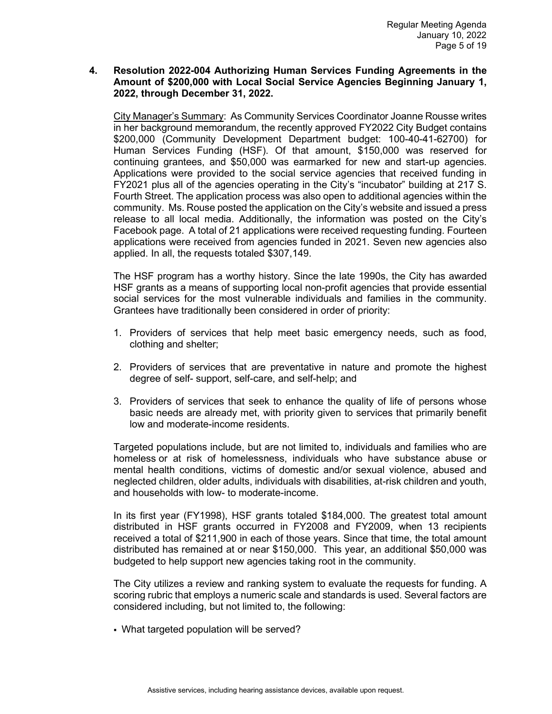## **4. Resolution 2022-004 Authorizing Human Services Funding Agreements in the Amount of \$200,000 with Local Social Service Agencies Beginning January 1, 2022, through December 31, 2022.**

City Manager's Summary: As Community Services Coordinator Joanne Rousse writes in her background memorandum, the recently approved FY2022 City Budget contains \$200,000 (Community Development Department budget: 100-40-41-62700) for Human Services Funding (HSF). Of that amount, \$150,000 was reserved for continuing grantees, and \$50,000 was earmarked for new and start-up agencies. Applications were provided to the social service agencies that received funding in FY2021 plus all of the agencies operating in the City's "incubator" building at 217 S. Fourth Street. The application process was also open to additional agencies within the community. Ms. Rouse posted the application on the City's website and issued a press release to all local media. Additionally, the information was posted on the City's Facebook page. A total of 21 applications were received requesting funding. Fourteen applications were received from agencies funded in 2021. Seven new agencies also applied. In all, the requests totaled \$307,149.

The HSF program has a worthy history. Since the late 1990s, the City has awarded HSF grants as a means of supporting local non-profit agencies that provide essential social services for the most vulnerable individuals and families in the community. Grantees have traditionally been considered in order of priority:

- 1. Providers of services that help meet basic emergency needs, such as food, clothing and shelter;
- 2. Providers of services that are preventative in nature and promote the highest degree of self- support, self-care, and self-help; and
- 3. Providers of services that seek to enhance the quality of life of persons whose basic needs are already met, with priority given to services that primarily benefit low and moderate-income residents.

Targeted populations include, but are not limited to, individuals and families who are homeless or at risk of homelessness, individuals who have substance abuse or mental health conditions, victims of domestic and/or sexual violence, abused and neglected children, older adults, individuals with disabilities, at-risk children and youth, and households with low- to moderate-income.

In its first year (FY1998), HSF grants totaled \$184,000. The greatest total amount distributed in HSF grants occurred in FY2008 and FY2009, when 13 recipients received a total of \$211,900 in each of those years. Since that time, the total amount distributed has remained at or near \$150,000. This year, an additional \$50,000 was budgeted to help support new agencies taking root in the community.

The City utilizes a review and ranking system to evaluate the requests for funding. A scoring rubric that employs a numeric scale and standards is used. Several factors are considered including, but not limited to, the following:

What targeted population will be served?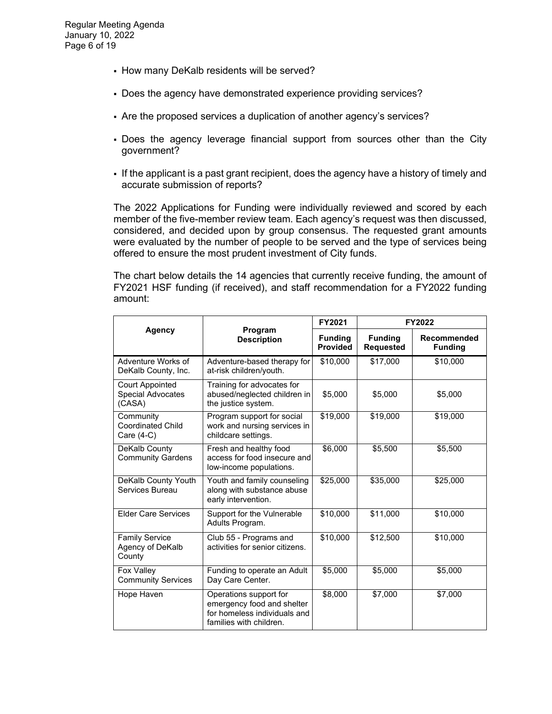- How many DeKalb residents will be served?
- Does the agency have demonstrated experience providing services?
- Are the proposed services a duplication of another agency's services?
- Does the agency leverage financial support from sources other than the City government?
- If the applicant is a past grant recipient, does the agency have a history of timely and accurate submission of reports?

The 2022 Applications for Funding were individually reviewed and scored by each member of the five-member review team. Each agency's request was then discussed, considered, and decided upon by group consensus. The requested grant amounts were evaluated by the number of people to be served and the type of services being offered to ensure the most prudent investment of City funds.

The chart below details the 14 agencies that currently receive funding, the amount of FY2021 HSF funding (if received), and staff recommendation for a FY2022 funding amount:

|                                                              | Program<br><b>Description</b>                                                                                   | FY2021                            | FY2022                             |                               |
|--------------------------------------------------------------|-----------------------------------------------------------------------------------------------------------------|-----------------------------------|------------------------------------|-------------------------------|
| <b>Agency</b>                                                |                                                                                                                 | <b>Funding</b><br><b>Provided</b> | <b>Funding</b><br><b>Requested</b> | Recommended<br><b>Funding</b> |
| Adventure Works of<br>DeKalb County, Inc.                    | Adventure-based therapy for<br>at-risk children/youth.                                                          | \$10,000                          | \$17,000                           | \$10,000                      |
| <b>Court Appointed</b><br><b>Special Advocates</b><br>(CASA) | Training for advocates for<br>abused/neglected children in<br>the justice system.                               | \$5,000                           | \$5,000                            | \$5,000                       |
| Community<br><b>Coordinated Child</b><br>Care $(4-C)$        | Program support for social<br>work and nursing services in<br>childcare settings.                               | \$19,000                          | \$19,000                           | \$19,000                      |
| DeKalb County<br><b>Community Gardens</b>                    | Fresh and healthy food<br>access for food insecure and<br>low-income populations.                               | \$6,000                           | \$5,500                            | \$5,500                       |
| DeKalb County Youth<br>Services Bureau                       | Youth and family counseling<br>along with substance abuse<br>early intervention.                                | \$25,000                          | \$35,000                           | \$25,000                      |
| <b>Elder Care Services</b>                                   | Support for the Vulnerable<br>Adults Program.                                                                   | \$10,000                          | \$11,000                           | \$10,000                      |
| <b>Family Service</b><br>Agency of DeKalb<br>County          | Club 55 - Programs and<br>activities for senior citizens.                                                       | \$10,000                          | \$12,500                           | \$10,000                      |
| Fox Valley<br><b>Community Services</b>                      | Funding to operate an Adult<br>Day Care Center.                                                                 | \$5,000                           | \$5,000                            | \$5,000                       |
| Hope Haven                                                   | Operations support for<br>emergency food and shelter<br>for homeless individuals and<br>families with children. | \$8,000                           | \$7,000                            | \$7,000                       |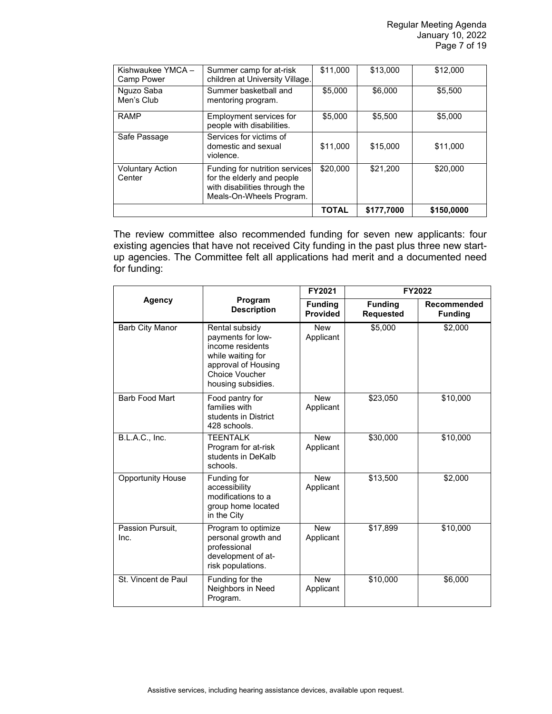| Kishwaukee YMCA-<br>Camp Power    | Summer camp for at-risk<br>children at University Village.                                                                | \$11,000     | \$13,000   | \$12,000   |
|-----------------------------------|---------------------------------------------------------------------------------------------------------------------------|--------------|------------|------------|
| Nguzo Saba<br>Men's Club          | Summer basketball and<br>mentoring program.                                                                               | \$5,000      | \$6,000    | \$5,500    |
| <b>RAMP</b>                       | Employment services for<br>people with disabilities.                                                                      | \$5,000      | \$5,500    | \$5,000    |
| Safe Passage                      | Services for victims of<br>domestic and sexual<br>violence.                                                               | \$11,000     | \$15,000   | \$11,000   |
| <b>Voluntary Action</b><br>Center | Funding for nutrition services<br>for the elderly and people<br>with disabilities through the<br>Meals-On-Wheels Program. | \$20,000     | \$21,200   | \$20,000   |
|                                   |                                                                                                                           | <b>TOTAL</b> | \$177.7000 | \$150,0000 |

The review committee also recommended funding for seven new applicants: four existing agencies that have not received City funding in the past plus three new startup agencies. The Committee felt all applications had merit and a documented need for funding:

|                          |                                                                                                                                                    | FY2021                            | <b>FY2022</b>                      |                               |
|--------------------------|----------------------------------------------------------------------------------------------------------------------------------------------------|-----------------------------------|------------------------------------|-------------------------------|
| <b>Agency</b>            | Program<br><b>Description</b>                                                                                                                      | <b>Funding</b><br><b>Provided</b> | <b>Funding</b><br><b>Requested</b> | Recommended<br><b>Funding</b> |
| <b>Barb City Manor</b>   | Rental subsidy<br>payments for low-<br>income residents<br>while waiting for<br>approval of Housing<br><b>Choice Voucher</b><br>housing subsidies. | <b>New</b><br>Applicant           | \$5,000                            | \$2,000                       |
| <b>Barb Food Mart</b>    | Food pantry for<br>families with<br>students in District<br>428 schools.                                                                           | <b>New</b><br>Applicant           | \$23,050                           | \$10,000                      |
| B.L.A.C., Inc.           | <b>TEENTALK</b><br>Program for at-risk<br>students in DeKalb<br>schools.                                                                           | <b>New</b><br>Applicant           | \$30,000                           | \$10,000                      |
| <b>Opportunity House</b> | Funding for<br>accessibility<br>modifications to a<br>group home located<br>in the City                                                            | <b>New</b><br>Applicant           | \$13,500                           | \$2,000                       |
| Passion Pursuit,<br>Inc. | Program to optimize<br>personal growth and<br>professional<br>development of at-<br>risk populations.                                              | <b>New</b><br>Applicant           | \$17,899                           | \$10,000                      |
| St. Vincent de Paul      | Funding for the<br>Neighbors in Need<br>Program.                                                                                                   | <b>New</b><br>Applicant           | \$10,000                           | \$6,000                       |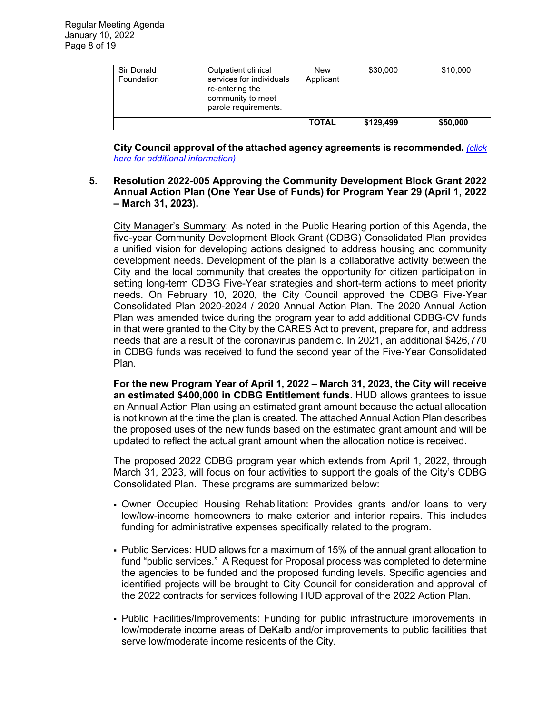| Sir Donald<br>Foundation | Outpatient clinical<br>services for individuals<br>re-entering the<br>community to meet<br>parole requirements. | New<br>Applicant | \$30,000  | \$10,000 |
|--------------------------|-----------------------------------------------------------------------------------------------------------------|------------------|-----------|----------|
|                          |                                                                                                                 | <b>TOTAL</b>     | \$129.499 | \$50,000 |

**City Council approval of the attached agency agreements is recommended.** *[\(click](https://www.cityofdekalb.com/DocumentCenter/View/13402/9-Res-2022-004)  [here for additional information\)](https://www.cityofdekalb.com/DocumentCenter/View/13402/9-Res-2022-004)*

#### **5. Resolution 2022-005 Approving the Community Development Block Grant 2022 Annual Action Plan (One Year Use of Funds) for Program Year 29 (April 1, 2022 – March 31, 2023).**

City Manager's Summary: As noted in the Public Hearing portion of this Agenda, the five-year Community Development Block Grant (CDBG) Consolidated Plan provides a unified vision for developing actions designed to address housing and community development needs. Development of the plan is a collaborative activity between the City and the local community that creates the opportunity for citizen participation in setting long-term CDBG Five-Year strategies and short-term actions to meet priority needs. On February 10, 2020, the City Council approved the CDBG Five-Year Consolidated Plan 2020-2024 / 2020 Annual Action Plan. The 2020 Annual Action Plan was amended twice during the program year to add additional CDBG-CV funds in that were granted to the City by the CARES Act to prevent, prepare for, and address needs that are a result of the coronavirus pandemic. In 2021, an additional \$426,770 in CDBG funds was received to fund the second year of the Five-Year Consolidated Plan.

**For the new Program Year of April 1, 2022 – March 31, 2023, the City will receive an estimated \$400,000 in CDBG Entitlement funds**. HUD allows grantees to issue an Annual Action Plan using an estimated grant amount because the actual allocation is not known at the time the plan is created. The attached Annual Action Plan describes the proposed uses of the new funds based on the estimated grant amount and will be updated to reflect the actual grant amount when the allocation notice is received.

The proposed 2022 CDBG program year which extends from April 1, 2022, through March 31, 2023, will focus on four activities to support the goals of the City's CDBG Consolidated Plan. These programs are summarized below:

- Owner Occupied Housing Rehabilitation: Provides grants and/or loans to very low/low-income homeowners to make exterior and interior repairs. This includes funding for administrative expenses specifically related to the program.
- Public Services: HUD allows for a maximum of 15% of the annual grant allocation to fund "public services." A Request for Proposal process was completed to determine the agencies to be funded and the proposed funding levels. Specific agencies and identified projects will be brought to City Council for consideration and approval of the 2022 contracts for services following HUD approval of the 2022 Action Plan.
- Public Facilities/Improvements: Funding for public infrastructure improvements in low/moderate income areas of DeKalb and/or improvements to public facilities that serve low/moderate income residents of the City.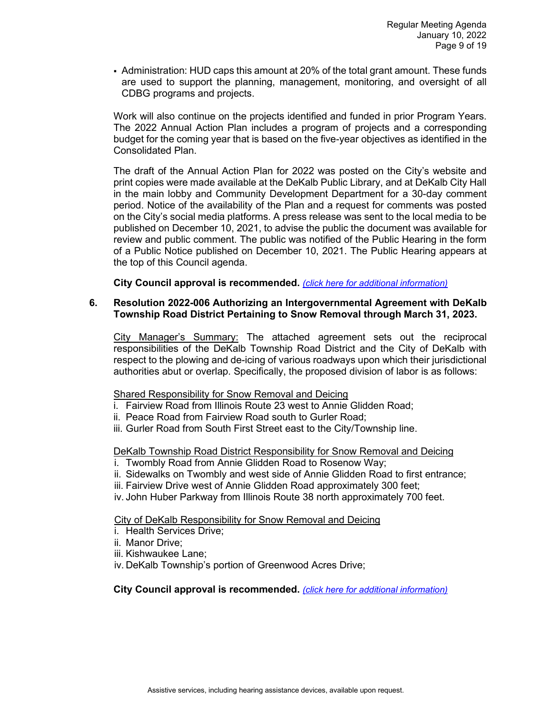Administration: HUD caps this amount at 20% of the total grant amount. These funds are used to support the planning, management, monitoring, and oversight of all CDBG programs and projects.

Work will also continue on the projects identified and funded in prior Program Years. The 2022 Annual Action Plan includes a program of projects and a corresponding budget for the coming year that is based on the five-year objectives as identified in the Consolidated Plan.

The draft of the Annual Action Plan for 2022 was posted on the City's website and print copies were made available at the DeKalb Public Library, and at DeKalb City Hall in the main lobby and Community Development Department for a 30-day comment period. Notice of the availability of the Plan and a request for comments was posted on the City's social media platforms. A press release was sent to the local media to be published on December 10, 2021, to advise the public the document was available for review and public comment. The public was notified of the Public Hearing in the form of a Public Notice published on December 10, 2021. The Public Hearing appears at the top of this Council agenda.

**City Council approval is recommended.** *[\(click here for additional information\)](https://www.cityofdekalb.com/DocumentCenter/View/13403/10-Res-2022-005)*

## **6. Resolution 2022-006 Authorizing an Intergovernmental Agreement with DeKalb Township Road District Pertaining to Snow Removal through March 31, 2023.**

City Manager's Summary: The attached agreement sets out the reciprocal responsibilities of the DeKalb Township Road District and the City of DeKalb with respect to the plowing and de-icing of various roadways upon which their jurisdictional authorities abut or overlap. Specifically, the proposed division of labor is as follows:

#### Shared Responsibility for Snow Removal and Deicing

- i. Fairview Road from Illinois Route 23 west to Annie Glidden Road;
- ii. Peace Road from Fairview Road south to Gurler Road;
- iii. Gurler Road from South First Street east to the City/Township line.

DeKalb Township Road District Responsibility for Snow Removal and Deicing

- i. Twombly Road from Annie Glidden Road to Rosenow Way;
- ii. Sidewalks on Twombly and west side of Annie Glidden Road to first entrance;
- iii. Fairview Drive west of Annie Glidden Road approximately 300 feet;
- iv. John Huber Parkway from Illinois Route 38 north approximately 700 feet.

City of DeKalb Responsibility for Snow Removal and Deicing

- i. Health Services Drive;
- ii. Manor Drive;
- iii. Kishwaukee Lane;
- iv. DeKalb Township's portion of Greenwood Acres Drive;

**City Council approval is recommended.** *[\(click here for additional information\)](https://www.cityofdekalb.com/DocumentCenter/View/13404/11-Res-2022-006)*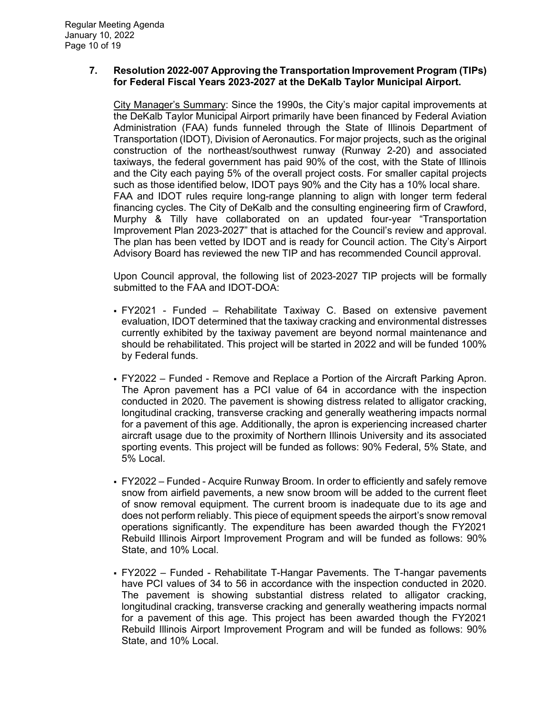## **7. Resolution 2022-007 Approving the Transportation Improvement Program (TIPs) for Federal Fiscal Years 2023-2027 at the DeKalb Taylor Municipal Airport.**

City Manager's Summary: Since the 1990s, the City's major capital improvements at the DeKalb Taylor Municipal Airport primarily have been financed by Federal Aviation Administration (FAA) funds funneled through the State of Illinois Department of Transportation (IDOT), Division of Aeronautics. For major projects, such as the original construction of the northeast/southwest runway (Runway 2-20) and associated taxiways, the federal government has paid 90% of the cost, with the State of Illinois and the City each paying 5% of the overall project costs. For smaller capital projects such as those identified below, IDOT pays 90% and the City has a 10% local share. FAA and IDOT rules require long-range planning to align with longer term federal financing cycles. The City of DeKalb and the consulting engineering firm of Crawford, Murphy & Tilly have collaborated on an updated four-year "Transportation Improvement Plan 2023-2027" that is attached for the Council's review and approval. The plan has been vetted by IDOT and is ready for Council action. The City's Airport Advisory Board has reviewed the new TIP and has recommended Council approval.

Upon Council approval, the following list of 2023-2027 TIP projects will be formally submitted to the FAA and IDOT-DOA:

- FY2021 Funded Rehabilitate Taxiway C. Based on extensive pavement evaluation, IDOT determined that the taxiway cracking and environmental distresses currently exhibited by the taxiway pavement are beyond normal maintenance and should be rehabilitated. This project will be started in 2022 and will be funded 100% by Federal funds.
- FY2022 Funded Remove and Replace a Portion of the Aircraft Parking Apron. The Apron pavement has a PCI value of 64 in accordance with the inspection conducted in 2020. The pavement is showing distress related to alligator cracking, longitudinal cracking, transverse cracking and generally weathering impacts normal for a pavement of this age. Additionally, the apron is experiencing increased charter aircraft usage due to the proximity of Northern Illinois University and its associated sporting events. This project will be funded as follows: 90% Federal, 5% State, and 5% Local.
- FY2022 Funded Acquire Runway Broom. In order to efficiently and safely remove snow from airfield pavements, a new snow broom will be added to the current fleet of snow removal equipment. The current broom is inadequate due to its age and does not perform reliably. This piece of equipment speeds the airport's snow removal operations significantly. The expenditure has been awarded though the FY2021 Rebuild Illinois Airport Improvement Program and will be funded as follows: 90% State, and 10% Local.
- FY2022 Funded Rehabilitate T-Hangar Pavements. The T-hangar pavements have PCI values of 34 to 56 in accordance with the inspection conducted in 2020. The pavement is showing substantial distress related to alligator cracking, longitudinal cracking, transverse cracking and generally weathering impacts normal for a pavement of this age. This project has been awarded though the FY2021 Rebuild Illinois Airport Improvement Program and will be funded as follows: 90% State, and 10% Local.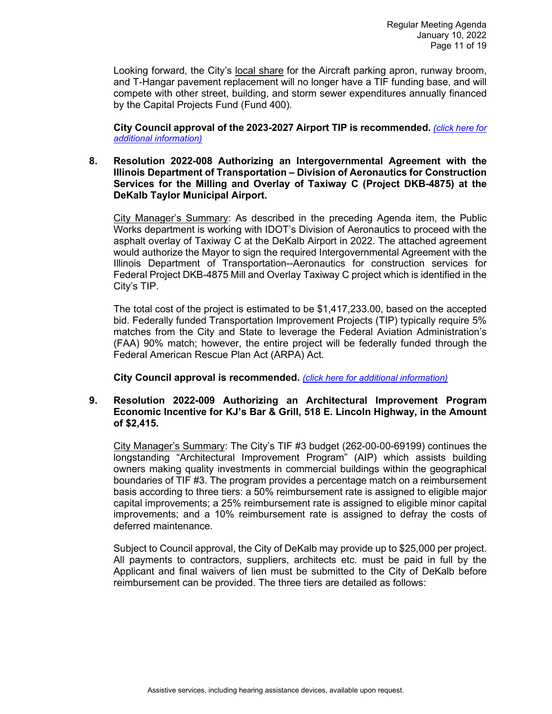Looking forward, the City's local share for the Aircraft parking apron, runway broom, and T-Hangar pavement replacement will no longer have a TIF funding base, and will compete with other street, building, and storm sewer expenditures annually financed by the Capital Projects Fund (Fund 400).

**City Council approval of the 2023-2027 Airport TIP is recommended.** *[\(click here for](https://www.cityofdekalb.com/DocumentCenter/View/13405/12-Res-2022-007)  [additional information\)](https://www.cityofdekalb.com/DocumentCenter/View/13405/12-Res-2022-007)*

#### **8. Resolution 2022-008 Authorizing an Intergovernmental Agreement with the Illinois Department of Transportation – Division of Aeronautics for Construction Services for the Milling and Overlay of Taxiway C (Project DKB-4875) at the DeKalb Taylor Municipal Airport.**

City Manager's Summary: As described in the preceding Agenda item, the Public Works department is working with IDOT's Division of Aeronautics to proceed with the asphalt overlay of Taxiway C at the DeKalb Airport in 2022. The attached agreement would authorize the Mayor to sign the required Intergovernmental Agreement with the Illinois Department of Transportation--Aeronautics for construction services for Federal Project DKB-4875 Mill and Overlay Taxiway C project which is identified in the City's TIP.

The total cost of the project is estimated to be \$1,417,233.00, based on the accepted bid. Federally funded Transportation Improvement Projects (TIP) typically require 5% matches from the City and State to leverage the Federal Aviation Administration's (FAA) 90% match; however, the entire project will be federally funded through the Federal American Rescue Plan Act (ARPA) Act.

**City Council approval is recommended.** *[\(click here for additional information\)](https://www.cityofdekalb.com/DocumentCenter/View/13406/13-Res-2022-008)*

#### **9. Resolution 2022-009 Authorizing an Architectural Improvement Program Economic Incentive for KJ's Bar & Grill, 518 E. Lincoln Highway, in the Amount of \$2,415.**

City Manager's Summary: The City's TIF #3 budget (262-00-00-69199) continues the longstanding "Architectural Improvement Program" (AIP) which assists building owners making quality investments in commercial buildings within the geographical boundaries of TIF #3. The program provides a percentage match on a reimbursement basis according to three tiers: a 50% reimbursement rate is assigned to eligible major capital improvements; a 25% reimbursement rate is assigned to eligible minor capital improvements; and a 10% reimbursement rate is assigned to defray the costs of deferred maintenance.

Subject to Council approval, the City of DeKalb may provide up to \$25,000 per project. All payments to contractors, suppliers, architects etc. must be paid in full by the Applicant and final waivers of lien must be submitted to the City of DeKalb before reimbursement can be provided. The three tiers are detailed as follows: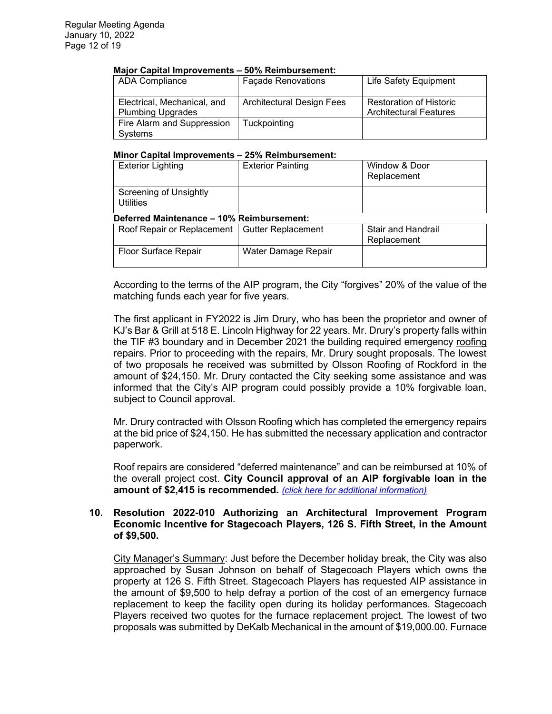#### **Major Capital Improvements – 50% Reimbursement:**

| <b>ADA Compliance</b>                                   | <b>Façade Renovations</b>        | <b>Life Safety Equipment</b>                                    |
|---------------------------------------------------------|----------------------------------|-----------------------------------------------------------------|
| Electrical, Mechanical, and<br><b>Plumbing Upgrades</b> | <b>Architectural Design Fees</b> | <b>Restoration of Historic</b><br><b>Architectural Features</b> |
| Fire Alarm and Suppression<br>Systems                   | Tuckpointing                     |                                                                 |

#### **Minor Capital Improvements – 25% Reimbursement:**

| <b>Exterior Lighting</b>                          | <b>Exterior Painting</b> | Window & Door<br>Replacement      |  |  |  |
|---------------------------------------------------|--------------------------|-----------------------------------|--|--|--|
| <b>Screening of Unsightly</b><br><b>Utilities</b> |                          |                                   |  |  |  |
| Deferred Maintenance - 10% Reimbursement:         |                          |                                   |  |  |  |
| Roof Repair or Replacement   Gutter Replacement   |                          | Stair and Handrail<br>Replacement |  |  |  |
| <b>Floor Surface Repair</b>                       | Water Damage Repair      |                                   |  |  |  |

According to the terms of the AIP program, the City "forgives" 20% of the value of the matching funds each year for five years.

The first applicant in FY2022 is Jim Drury, who has been the proprietor and owner of KJ's Bar & Grill at 518 E. Lincoln Highway for 22 years. Mr. Drury's property falls within the TIF #3 boundary and in December 2021 the building required emergency roofing repairs. Prior to proceeding with the repairs, Mr. Drury sought proposals. The lowest of two proposals he received was submitted by Olsson Roofing of Rockford in the amount of \$24,150. Mr. Drury contacted the City seeking some assistance and was informed that the City's AIP program could possibly provide a 10% forgivable loan, subject to Council approval.

Mr. Drury contracted with Olsson Roofing which has completed the emergency repairs at the bid price of \$24,150. He has submitted the necessary application and contractor paperwork.

Roof repairs are considered "deferred maintenance" and can be reimbursed at 10% of the overall project cost. **City Council approval of an AIP forgivable loan in the amount of \$2,415 is recommended.** *[\(click here for additional information\)](https://www.cityofdekalb.com/DocumentCenter/View/13407/14-Res-2022-009)*

#### **10. Resolution 2022-010 Authorizing an Architectural Improvement Program Economic Incentive for Stagecoach Players, 126 S. Fifth Street, in the Amount of \$9,500.**

City Manager's Summary: Just before the December holiday break, the City was also approached by Susan Johnson on behalf of Stagecoach Players which owns the property at 126 S. Fifth Street. Stagecoach Players has requested AIP assistance in the amount of \$9,500 to help defray a portion of the cost of an emergency furnace replacement to keep the facility open during its holiday performances. Stagecoach Players received two quotes for the furnace replacement project. The lowest of two proposals was submitted by DeKalb Mechanical in the amount of \$19,000.00. Furnace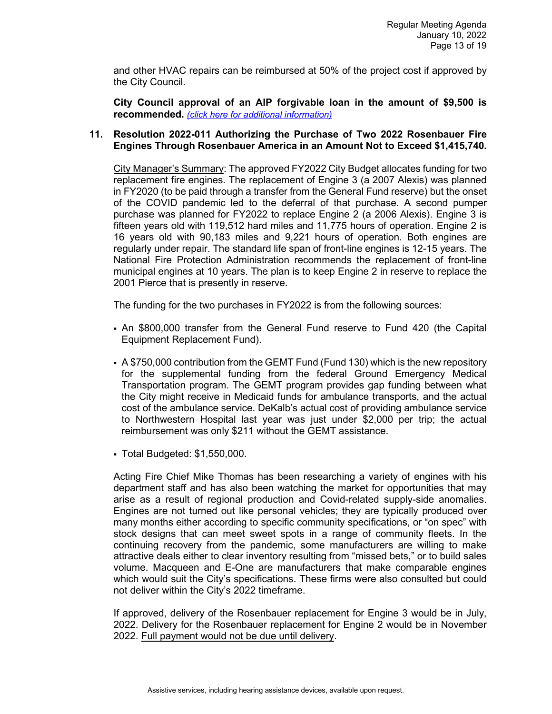and other HVAC repairs can be reimbursed at 50% of the project cost if approved by the City Council.

**City Council approval of an AIP forgivable loan in the amount of \$9,500 is recommended.** *[\(click here for additional information\)](https://www.cityofdekalb.com/DocumentCenter/View/13408/15-Res-2022-010)*

## **11. Resolution 2022-011 Authorizing the Purchase of Two 2022 Rosenbauer Fire Engines Through Rosenbauer America in an Amount Not to Exceed \$1,415,740.**

City Manager's Summary: The approved FY2022 City Budget allocates funding for two replacement fire engines. The replacement of Engine 3 (a 2007 Alexis) was planned in FY2020 (to be paid through a transfer from the General Fund reserve) but the onset of the COVID pandemic led to the deferral of that purchase. A second pumper purchase was planned for FY2022 to replace Engine 2 (a 2006 Alexis). Engine 3 is fifteen years old with 119,512 hard miles and 11,775 hours of operation. Engine 2 is 16 years old with 90,183 miles and 9,221 hours of operation. Both engines are regularly under repair. The standard life span of front-line engines is 12-15 years. The National Fire Protection Administration recommends the replacement of front-line municipal engines at 10 years. The plan is to keep Engine 2 in reserve to replace the 2001 Pierce that is presently in reserve.

The funding for the two purchases in FY2022 is from the following sources:

- An \$800,000 transfer from the General Fund reserve to Fund 420 (the Capital Equipment Replacement Fund).
- A \$750,000 contribution from the GEMT Fund (Fund 130) which is the new repository for the supplemental funding from the federal Ground Emergency Medical Transportation program. The GEMT program provides gap funding between what the City might receive in Medicaid funds for ambulance transports, and the actual cost of the ambulance service. DeKalb's actual cost of providing ambulance service to Northwestern Hospital last year was just under \$2,000 per trip; the actual reimbursement was only \$211 without the GEMT assistance.
- Total Budgeted: \$1,550,000.

Acting Fire Chief Mike Thomas has been researching a variety of engines with his department staff and has also been watching the market for opportunities that may arise as a result of regional production and Covid-related supply-side anomalies. Engines are not turned out like personal vehicles; they are typically produced over many months either according to specific community specifications, or "on spec" with stock designs that can meet sweet spots in a range of community fleets. In the continuing recovery from the pandemic, some manufacturers are willing to make attractive deals either to clear inventory resulting from "missed bets," or to build sales volume. Macqueen and E-One are manufacturers that make comparable engines which would suit the City's specifications. These firms were also consulted but could not deliver within the City's 2022 timeframe.

If approved, delivery of the Rosenbauer replacement for Engine 3 would be in July, 2022. Delivery for the Rosenbauer replacement for Engine 2 would be in November 2022. Full payment would not be due until delivery.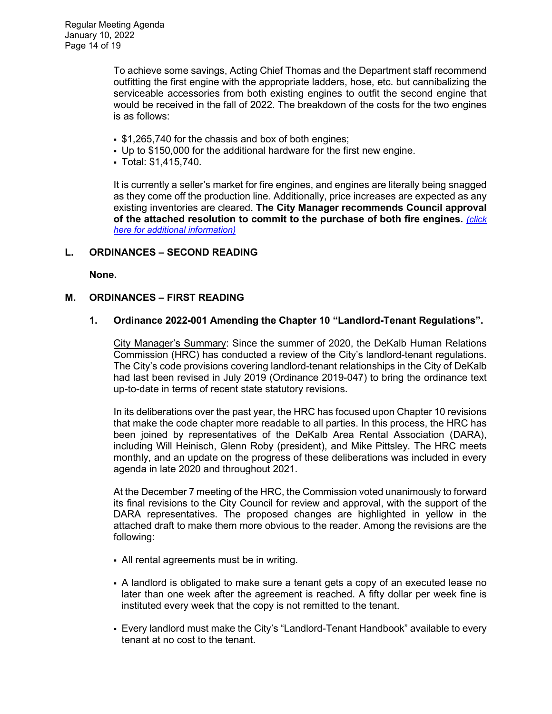To achieve some savings, Acting Chief Thomas and the Department staff recommend outfitting the first engine with the appropriate ladders, hose, etc. but cannibalizing the serviceable accessories from both existing engines to outfit the second engine that would be received in the fall of 2022. The breakdown of the costs for the two engines is as follows:

- $\cdot$  \$1,265,740 for the chassis and box of both engines;
- Up to \$150,000 for the additional hardware for the first new engine.
- Total: \$1,415,740.

It is currently a seller's market for fire engines, and engines are literally being snagged as they come off the production line. Additionally, price increases are expected as any existing inventories are cleared. **The City Manager recommends Council approval of the attached resolution to commit to the purchase of both fire engines.** *[\(click](https://www.cityofdekalb.com/DocumentCenter/View/13409/16-Res-2022-011)  [here for additional information\)](https://www.cityofdekalb.com/DocumentCenter/View/13409/16-Res-2022-011)*

# **L. ORDINANCES – SECOND READING**

**None.** 

## **M. ORDINANCES – FIRST READING**

## **1. Ordinance 2022-001 Amending the Chapter 10 "Landlord-Tenant Regulations".**

City Manager's Summary: Since the summer of 2020, the DeKalb Human Relations Commission (HRC) has conducted a review of the City's landlord-tenant regulations. The City's code provisions covering landlord-tenant relationships in the City of DeKalb had last been revised in July 2019 (Ordinance 2019-047) to bring the ordinance text up-to-date in terms of recent state statutory revisions.

In its deliberations over the past year, the HRC has focused upon Chapter 10 revisions that make the code chapter more readable to all parties. In this process, the HRC has been joined by representatives of the DeKalb Area Rental Association (DARA), including Will Heinisch, Glenn Roby (president), and Mike Pittsley. The HRC meets monthly, and an update on the progress of these deliberations was included in every agenda in late 2020 and throughout 2021.

At the December 7 meeting of the HRC, the Commission voted unanimously to forward its final revisions to the City Council for review and approval, with the support of the DARA representatives. The proposed changes are highlighted in yellow in the attached draft to make them more obvious to the reader. Among the revisions are the following:

- All rental agreements must be in writing.
- A landlord is obligated to make sure a tenant gets a copy of an executed lease no later than one week after the agreement is reached. A fifty dollar per week fine is instituted every week that the copy is not remitted to the tenant.
- Every landlord must make the City's "Landlord-Tenant Handbook" available to every tenant at no cost to the tenant.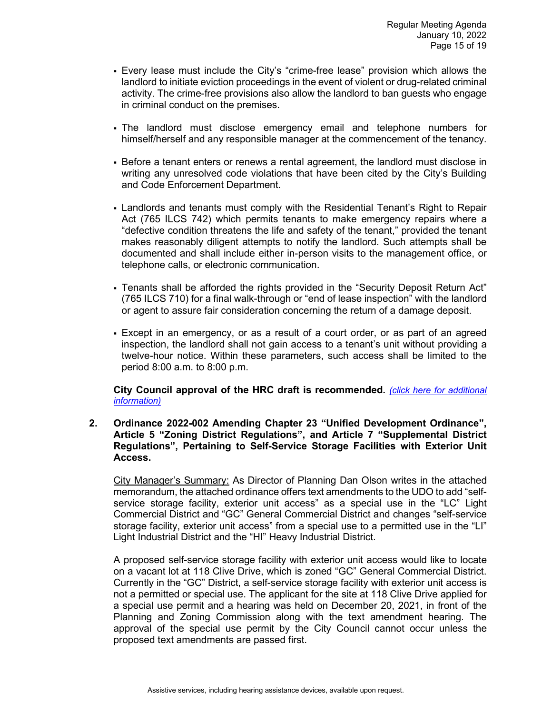- Every lease must include the City's "crime-free lease" provision which allows the landlord to initiate eviction proceedings in the event of violent or drug-related criminal activity. The crime-free provisions also allow the landlord to ban guests who engage in criminal conduct on the premises.
- The landlord must disclose emergency email and telephone numbers for himself/herself and any responsible manager at the commencement of the tenancy.
- Before a tenant enters or renews a rental agreement, the landlord must disclose in writing any unresolved code violations that have been cited by the City's Building and Code Enforcement Department.
- Landlords and tenants must comply with the Residential Tenant's Right to Repair Act (765 ILCS 742) which permits tenants to make emergency repairs where a "defective condition threatens the life and safety of the tenant," provided the tenant makes reasonably diligent attempts to notify the landlord. Such attempts shall be documented and shall include either in-person visits to the management office, or telephone calls, or electronic communication.
- Tenants shall be afforded the rights provided in the "Security Deposit Return Act" (765 ILCS 710) for a final walk-through or "end of lease inspection" with the landlord or agent to assure fair consideration concerning the return of a damage deposit.
- Except in an emergency, or as a result of a court order, or as part of an agreed inspection, the landlord shall not gain access to a tenant's unit without providing a twelve-hour notice. Within these parameters, such access shall be limited to the period 8:00 a.m. to 8:00 p.m.

**City Council approval of the HRC draft is recommended.** *[\(click here for additional](https://www.cityofdekalb.com/DocumentCenter/View/13410/17-Ord-2022-001)  [information\)](https://www.cityofdekalb.com/DocumentCenter/View/13410/17-Ord-2022-001)*

**2. Ordinance 2022-002 Amending Chapter 23 "Unified Development Ordinance", Article 5 "Zoning District Regulations", and Article 7 "Supplemental District Regulations", Pertaining to Self-Service Storage Facilities with Exterior Unit Access.**

City Manager's Summary: As Director of Planning Dan Olson writes in the attached memorandum, the attached ordinance offers text amendments to the UDO to add "selfservice storage facility, exterior unit access" as a special use in the "LC" Light Commercial District and "GC" General Commercial District and changes "self-service storage facility, exterior unit access" from a special use to a permitted use in the "LI" Light Industrial District and the "HI" Heavy Industrial District.

A proposed self-service storage facility with exterior unit access would like to locate on a vacant lot at 118 Clive Drive, which is zoned "GC" General Commercial District. Currently in the "GC" District, a self-service storage facility with exterior unit access is not a permitted or special use. The applicant for the site at 118 Clive Drive applied for a special use permit and a hearing was held on December 20, 2021, in front of the Planning and Zoning Commission along with the text amendment hearing. The approval of the special use permit by the City Council cannot occur unless the proposed text amendments are passed first.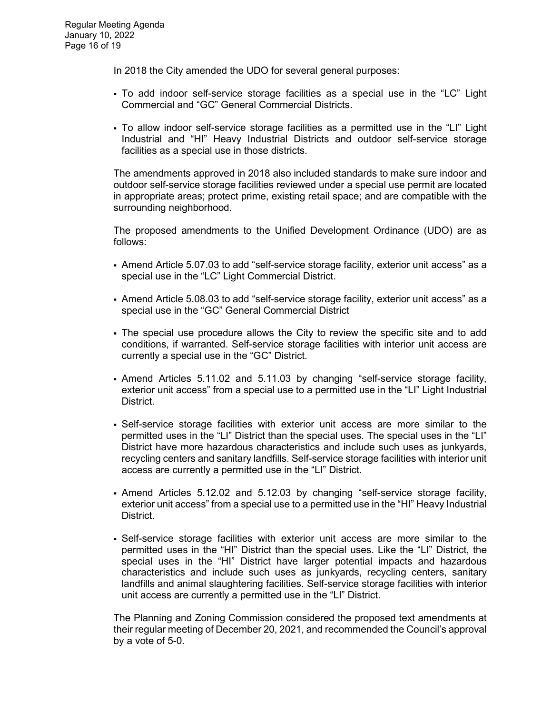In 2018 the City amended the UDO for several general purposes:

- To add indoor self-service storage facilities as a special use in the "LC" Light Commercial and "GC" General Commercial Districts.
- To allow indoor self-service storage facilities as a permitted use in the "LI" Light Industrial and "HI" Heavy Industrial Districts and outdoor self-service storage facilities as a special use in those districts.

The amendments approved in 2018 also included standards to make sure indoor and outdoor self-service storage facilities reviewed under a special use permit are located in appropriate areas; protect prime, existing retail space; and are compatible with the surrounding neighborhood.

The proposed amendments to the Unified Development Ordinance (UDO) are as follows:

- Amend Article 5.07.03 to add "self-service storage facility, exterior unit access" as a special use in the "LC" Light Commercial District.
- Amend Article 5.08.03 to add "self-service storage facility, exterior unit access" as a special use in the "GC" General Commercial District
- The special use procedure allows the City to review the specific site and to add conditions, if warranted. Self-service storage facilities with interior unit access are currently a special use in the "GC" District.
- Amend Articles 5.11.02 and 5.11.03 by changing "self-service storage facility, exterior unit access" from a special use to a permitted use in the "LI" Light Industrial District.
- Self-service storage facilities with exterior unit access are more similar to the permitted uses in the "LI" District than the special uses. The special uses in the "LI" District have more hazardous characteristics and include such uses as junkyards, recycling centers and sanitary landfills. Self-service storage facilities with interior unit access are currently a permitted use in the "LI" District.
- Amend Articles 5.12.02 and 5.12.03 by changing "self-service storage facility, exterior unit access" from a special use to a permitted use in the "HI" Heavy Industrial District.
- Self-service storage facilities with exterior unit access are more similar to the permitted uses in the "HI" District than the special uses. Like the "LI" District, the special uses in the "HI" District have larger potential impacts and hazardous characteristics and include such uses as junkyards, recycling centers, sanitary landfills and animal slaughtering facilities. Self-service storage facilities with interior unit access are currently a permitted use in the "LI" District.

The Planning and Zoning Commission considered the proposed text amendments at their regular meeting of December 20, 2021, and recommended the Council's approval by a vote of 5-0.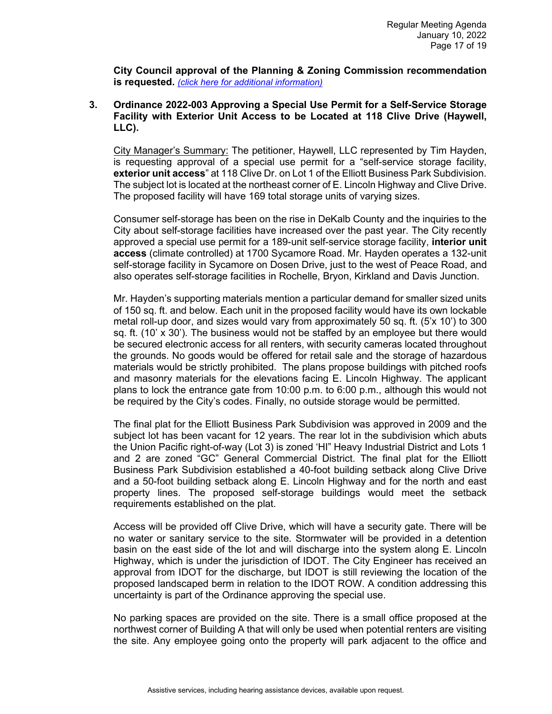**City Council approval of the Planning & Zoning Commission recommendation is requested.** *[\(click here for additional information\)](https://www.cityofdekalb.com/DocumentCenter/View/13411/18-Ord-2022-002)*

## **3. Ordinance 2022-003 Approving a Special Use Permit for a Self-Service Storage Facility with Exterior Unit Access to be Located at 118 Clive Drive (Haywell, LLC).**

City Manager's Summary: The petitioner, Haywell, LLC represented by Tim Hayden, is requesting approval of a special use permit for a "self-service storage facility, **exterior unit access**" at 118 Clive Dr. on Lot 1 of the Elliott Business Park Subdivision. The subject lot is located at the northeast corner of E. Lincoln Highway and Clive Drive. The proposed facility will have 169 total storage units of varying sizes.

Consumer self-storage has been on the rise in DeKalb County and the inquiries to the City about self-storage facilities have increased over the past year. The City recently approved a special use permit for a 189-unit self-service storage facility, **interior unit access** (climate controlled) at 1700 Sycamore Road. Mr. Hayden operates a 132-unit self-storage facility in Sycamore on Dosen Drive, just to the west of Peace Road, and also operates self-storage facilities in Rochelle, Bryon, Kirkland and Davis Junction.

Mr. Hayden's supporting materials mention a particular demand for smaller sized units of 150 sq. ft. and below. Each unit in the proposed facility would have its own lockable metal roll-up door, and sizes would vary from approximately 50 sq. ft. (5'x 10') to 300 sq. ft. (10'  $\times$  30'). The business would not be staffed by an employee but there would be secured electronic access for all renters, with security cameras located throughout the grounds. No goods would be offered for retail sale and the storage of hazardous materials would be strictly prohibited. The plans propose buildings with pitched roofs and masonry materials for the elevations facing E. Lincoln Highway. The applicant plans to lock the entrance gate from 10:00 p.m. to 6:00 p.m., although this would not be required by the City's codes. Finally, no outside storage would be permitted.

The final plat for the Elliott Business Park Subdivision was approved in 2009 and the subject lot has been vacant for 12 years. The rear lot in the subdivision which abuts the Union Pacific right-of-way (Lot 3) is zoned 'HI" Heavy Industrial District and Lots 1 and 2 are zoned "GC" General Commercial District. The final plat for the Elliott Business Park Subdivision established a 40-foot building setback along Clive Drive and a 50-foot building setback along E. Lincoln Highway and for the north and east property lines. The proposed self-storage buildings would meet the setback requirements established on the plat.

Access will be provided off Clive Drive, which will have a security gate. There will be no water or sanitary service to the site. Stormwater will be provided in a detention basin on the east side of the lot and will discharge into the system along E. Lincoln Highway, which is under the jurisdiction of IDOT. The City Engineer has received an approval from IDOT for the discharge, but IDOT is still reviewing the location of the proposed landscaped berm in relation to the IDOT ROW. A condition addressing this uncertainty is part of the Ordinance approving the special use.

No parking spaces are provided on the site. There is a small office proposed at the northwest corner of Building A that will only be used when potential renters are visiting the site. Any employee going onto the property will park adjacent to the office and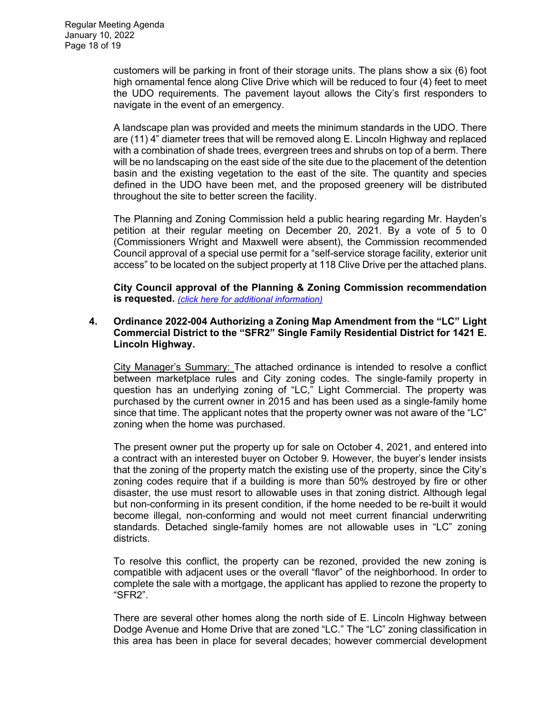customers will be parking in front of their storage units. The plans show a six (6) foot high ornamental fence along Clive Drive which will be reduced to four (4) feet to meet the UDO requirements. The pavement layout allows the City's first responders to navigate in the event of an emergency.

A landscape plan was provided and meets the minimum standards in the UDO. There are (11) 4" diameter trees that will be removed along E. Lincoln Highway and replaced with a combination of shade trees, evergreen trees and shrubs on top of a berm. There will be no landscaping on the east side of the site due to the placement of the detention basin and the existing vegetation to the east of the site. The quantity and species defined in the UDO have been met, and the proposed greenery will be distributed throughout the site to better screen the facility.

The Planning and Zoning Commission held a public hearing regarding Mr. Hayden's petition at their regular meeting on December 20, 2021. By a vote of 5 to 0 (Commissioners Wright and Maxwell were absent), the Commission recommended Council approval of a special use permit for a "self-service storage facility, exterior unit access" to be located on the subject property at 118 Clive Drive per the attached plans.

**City Council approval of the Planning & Zoning Commission recommendation is requested.** *(click [here for additional information\)](https://www.cityofdekalb.com/DocumentCenter/View/13412/19-Ord-2022-003)*

## **4. Ordinance 2022-004 Authorizing a Zoning Map Amendment from the "LC" Light Commercial District to the "SFR2" Single Family Residential District for 1421 E. Lincoln Highway.**

City Manager's Summary: The attached ordinance is intended to resolve a conflict between marketplace rules and City zoning codes. The single-family property in question has an underlying zoning of "LC," Light Commercial. The property was purchased by the current owner in 2015 and has been used as a single-family home since that time. The applicant notes that the property owner was not aware of the "LC" zoning when the home was purchased.

The present owner put the property up for sale on October 4, 2021, and entered into a contract with an interested buyer on October 9. However, the buyer's lender insists that the zoning of the property match the existing use of the property, since the City's zoning codes require that if a building is more than 50% destroyed by fire or other disaster, the use must resort to allowable uses in that zoning district. Although legal but non-conforming in its present condition, if the home needed to be re-built it would become illegal, non-conforming and would not meet current financial underwriting standards. Detached single-family homes are not allowable uses in "LC" zoning districts.

To resolve this conflict, the property can be rezoned, provided the new zoning is compatible with adjacent uses or the overall "flavor" of the neighborhood. In order to complete the sale with a mortgage, the applicant has applied to rezone the property to "SFR2".

There are several other homes along the north side of E. Lincoln Highway between Dodge Avenue and Home Drive that are zoned "LC." The "LC" zoning classification in this area has been in place for several decades; however commercial development